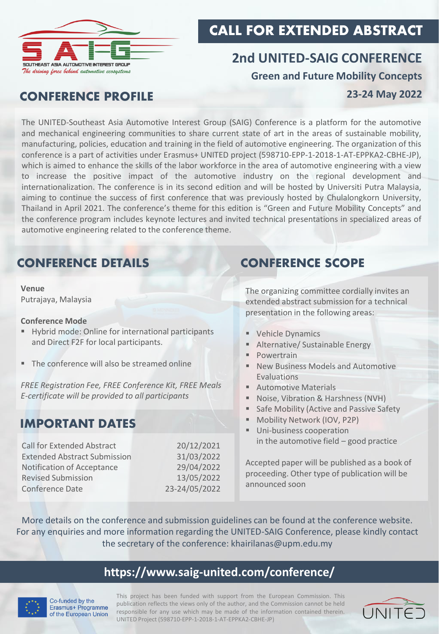

# CALL FOR EXTENDED ABSTRACT

# **2nd UNITED-SAIG CONFERENCE Green and Future Mobility Concepts**

### CONFERENCE PROFILE

### **23-24 May 2022**

The UNITED-Southeast Asia Automotive Interest Group (SAIG) Conference is a platform for the automotive and mechanical engineering communities to share current state of art in the areas of sustainable mobility, manufacturing, policies, education and training in the field of automotive engineering. The organization of this conference is a part of activities under Erasmus+ UNITED project (598710-EPP-1-2018-1-AT-EPPKA2-CBHE-JP), which is aimed to enhance the skills of the labor workforce in the area of automotive engineering with a view to increase the positive impact of the automotive industry on the regional development and internationalization. The conference is in its second edition and will be hosted by Universiti Putra Malaysia, aiming to continue the success of first conference that was previously hosted by Chulalongkorn University, Thailand in April 2021. The conference's theme for this edition is "Green and Future Mobility Concepts" and the conference program includes keynote lectures and invited technical presentations in specialized areas of automotive engineering related to the conference theme.

# CONFERENCE DETAILS CONFERENCE SCOPE

**Venue** Putrajaya, Malaysia

### **Conference Mode**

- Hybrid mode: Online for international participants and Direct F2F for local participants.
- The conference will also be streamed online

*FREE Registration Fee, FREE Conference Kit, FREE Meals E-certificate will be provided to all participants*

## IMPORTANT DATES

| <b>Call for Extended Abstract</b>   | 20/12/2021    |
|-------------------------------------|---------------|
| <b>Extended Abstract Submission</b> | 31/03/2022    |
| Notification of Acceptance          | 29/04/2022    |
| <b>Revised Submission</b>           | 13/05/2022    |
| Conference Date                     | 23-24/05/2022 |

The organizing committee cordially invites an extended abstract submission for a technical presentation in the following areas:

- Vehicle Dynamics
- Alternative/ Sustainable Energy
- Powertrain
- New Business Models and Automotive **Evaluations**
- Automotive Materials
- Noise, Vibration & Harshness (NVH)
- Safe Mobility (Active and Passive Safety
- Mobility Network (IOV, P2P)
- Uni-business cooperation in the automotive field – good practice

Accepted paper will be published as a book of proceeding. Other type of publication will be announced soon

More details on the conference and submission guidelines can be found at the conference website. For any enquiries and more information regarding the UNITED-SAIG Conference, please kindly contact the secretary of the conference: [khairilanas@upm.edu.my](mailto:khairilanas@upm.edu.my)

### **<https://www.saig-united.com/conference/>**



Co-funded by the Erasmus+ Programme of the European Union

This project has been funded with support from the European Commission. This publication reflects the views only of the author, and the Commission cannot be held responsible for any use which may be made of the information contained therein. UNITED Project (598710-EPP-1-2018-1-AT-EPPKA2-CBHE-JP)